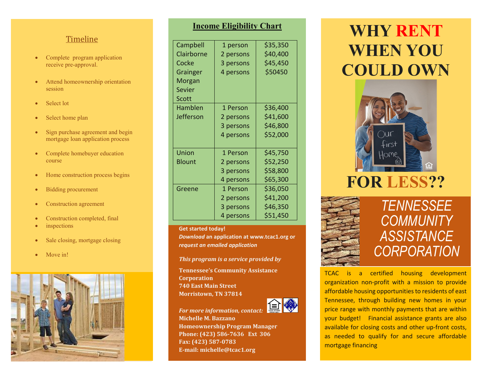#### Timeline

- Complete program application receive pre-approval.
- Attend homeownership orientation session
- Select lot
- Select home plan
- Sign purchase agreement and begin mortgage loan application process
- Complete homebuyer education course
- Home construction process begins
- Bidding procurement
- Construction agreement
- Construction completed, final
- inspections
- Sale closing, mortgage closing
- Move in!



#### **Income Eligibility Chart**

| Campbell      | 1 person  | \$35,350 |
|---------------|-----------|----------|
| Clairborne    | 2 persons | \$40,400 |
| Cocke         | 3 persons | \$45,450 |
| Grainger      | 4 persons | \$50450  |
| Morgan        |           |          |
| <b>Sevier</b> |           |          |
| Scott         |           |          |
| Hamblen       | 1 Person  | \$36,400 |
| Jefferson     | 2 persons | \$41,600 |
|               | 3 persons | \$46,800 |
|               | 4 persons | \$52,000 |
| Union         | 1 Person  | \$45,750 |
| Blount        | 2 persons | \$52,250 |
|               | 3 persons | \$58,800 |
|               | 4 persons | \$65,300 |
| Greene        | 1 Person  | \$36,050 |
|               | 2 persons | \$41,200 |
|               | 3 persons | \$46,350 |
|               | 4 persons | \$51,450 |

#### **Get started today!**

*Download* **an application at www.tcac1.org or**  *request an emailed application*

*This program is a service provided by*

**Tennessee's Community Assistance Corporation 740 East Main Street Morristown, TN 37814**



*For more information, contact:* **Michelle M. Bazzano Homeownership Program Manager Phone: (423) 586-7636 Ext 306 Fax: (423) 587-0783 E-mail: michelle@tcac1.org**

# **WHY RENT WHEN YOU COULD OWN**







### *TENNESSEE COMMUNITY ASSISTANCE CORPORATION*

TCAC is a certified housing development organization non-profit with a mission to provide affordable housing opportunities to residents of east Tennessee, through building new homes in your price range with monthly payments that are within your budget! Financial assistance grants are also available for closing costs and other up-front costs, as needed to qualify for and secure affordable mortgage financing